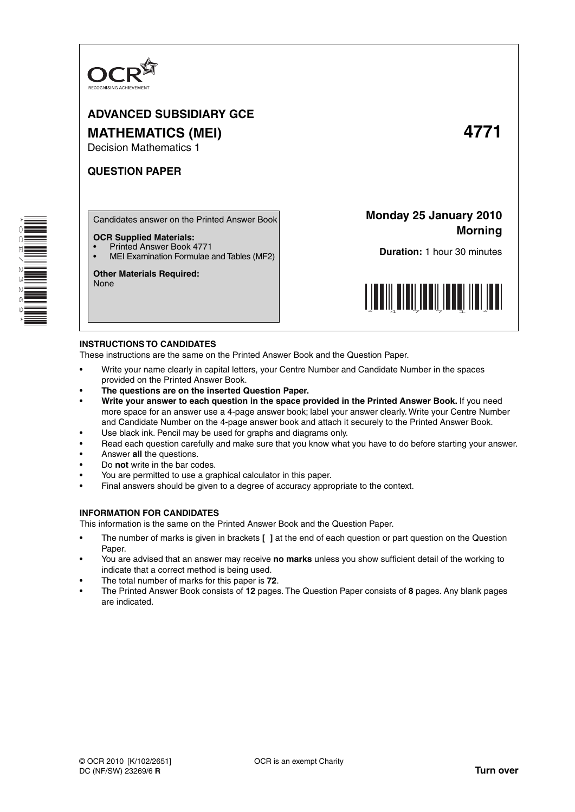

# **ADVANCED SUBSIDIARY GCE MATHEMATICS (MEI) 4771**

Decision Mathematics 1

## **QUESTION PAPER**

\* OQ E  $\overline{\phantom{0}}$ N ω N ወ  $\overline{6}$ 

\*

Candidates answer on the Printed Answer Book

#### **OCR Supplied Materials:**

- Printed Answer Book 4771
- MEI Examination Formulae and Tables (MF2)

**Other Materials Required:** None

**Monday 25 January 2010 Morning**

**Duration:** 1 hour 30 minutes



#### **INSTRUCTIONS TO CANDIDATES**

These instructions are the same on the Printed Answer Book and the Question Paper.

- Write your name clearly in capital letters, your Centre Number and Candidate Number in the spaces provided on the Printed Answer Book.
- **The questions are on the inserted Question Paper.**
- **Write your answer to each question in the space provided in the Printed Answer Book.** If you need more space for an answer use a 4-page answer book; label your answer clearly. Write your Centre Number and Candidate Number on the 4-page answer book and attach it securely to the Printed Answer Book.
- Use black ink. Pencil may be used for graphs and diagrams only.
- Read each question carefully and make sure that you know what you have to do before starting your answer.
- Answer **all** the questions.
- Do **not** write in the bar codes.
- You are permitted to use a graphical calculator in this paper.
- Final answers should be given to a degree of accuracy appropriate to the context.

#### **INFORMATION FOR CANDIDATES**

This information is the same on the Printed Answer Book and the Question Paper.

- The number of marks is given in brackets **[ ]** at the end of each question or part question on the Question Paper.
- You are advised that an answer may receive **no marks** unless you show sufficient detail of the working to indicate that a correct method is being used.
- The total number of marks for this paper is **72**.
- The Printed Answer Book consists of **12** pages. The Question Paper consists of **8** pages. Any blank pages are indicated.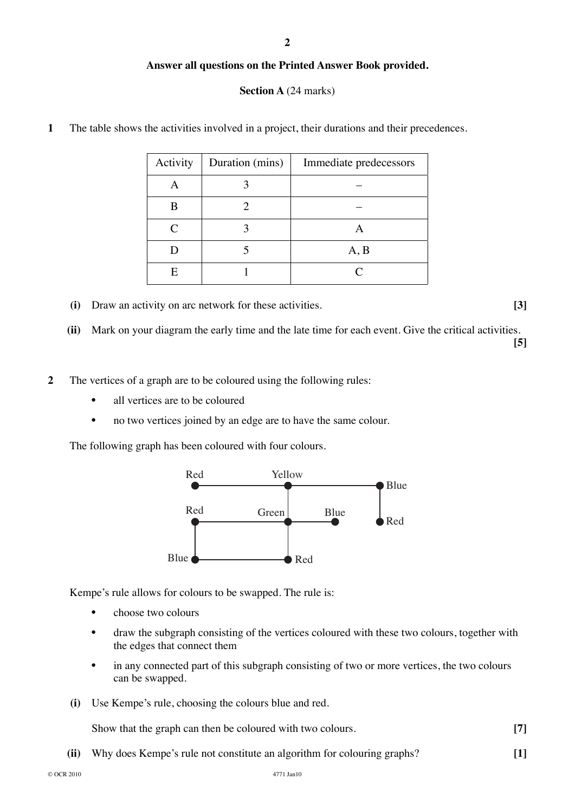Activity | Duration (mins) | Immediate predecessors

**2**

**Answer all questions on the Printed Answer Book provided.**

- 
- © OCR 2010 4771 Jan10

#### **1** The table shows the activities involved in a project, their durations and their precedences.

| B                           |   |               |
|-----------------------------|---|---------------|
| $\mathcal{C}_{\mathcal{C}}$ | ◠ | Α             |
| D                           |   | A, B          |
| E                           |   | $\mathcal{C}$ |
|                             |   |               |

- **(i)** Draw an activity on arc network for these activities. **[3]**
- **(ii)** Mark on your diagram the early time and the late time for each event. Give the critical activities.

**[5]**

- **2** The vertices of a graph are to be coloured using the following rules:
	- all vertices are to be coloured
	- no two vertices joined by an edge are to have the same colour.

The following graph has been coloured with four colours.

Red

Red

Blue<sup>1</sup>



- choose two colours
- draw the subgraph consisting of the vertices coloured with these two colours, together with the edges that connect them

Red

Green Blue

Yellow

Red

Blue

- in any connected part of this subgraph consisting of two or more vertices, the two colours can be swapped.
- **(i)** Use Kempe's rule, choosing the colours blue and red.

Show that the graph can then be coloured with two colours. **[7]** 

 **(ii)** Why does Kempe's rule not constitute an algorithm for colouring graphs? **[1]**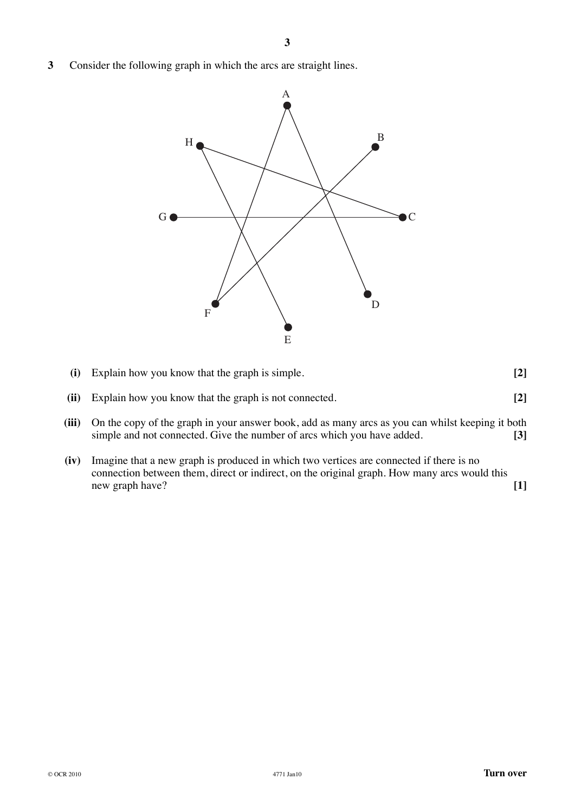**3** Consider the following graph in which the arcs are straight lines.



- **(i)** Explain how you know that the graph is simple. **[2]**
- **(ii)** Explain how you know that the graph is not connected. **[2]**
- **(iii)** On the copy of the graph in your answer book, add as many arcs as you can whilst keeping it both simple and not connected. Give the number of arcs which you have added. **[3]**
- **(iv)** Imagine that a new graph is produced in which two vertices are connected if there is no connection between them, direct or indirect, on the original graph. How many arcs would this new graph have? **[1]**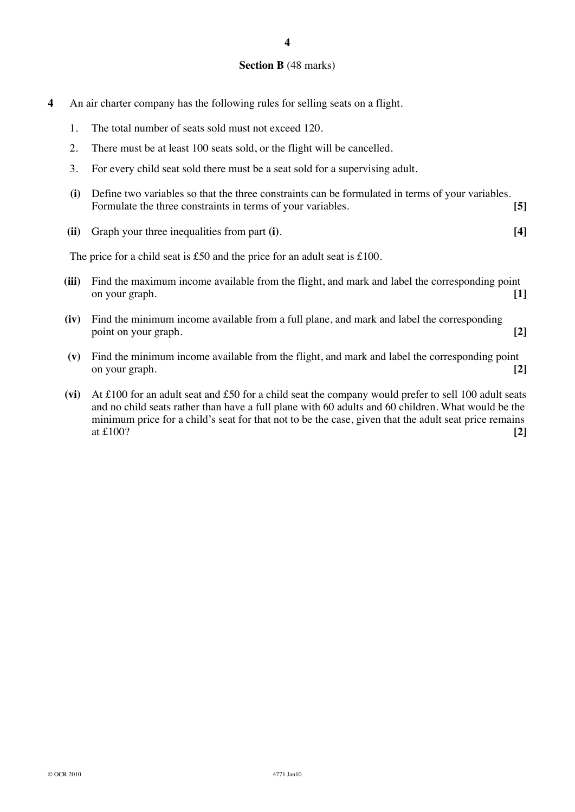### **Section B** (48 marks)

- **4** An air charter company has the following rules for selling seats on a flight.
	- 1. The total number of seats sold must not exceed 120.
	- 2. There must be at least 100 seats sold, or the flight will be cancelled.
	- 3. For every child seat sold there must be a seat sold for a supervising adult.
	- **(i)** Define two variables so that the three constraints can be formulated in terms of your variables. Formulate the three constraints in terms of your variables. **[5]**
	- **(ii)** Graph your three inequalities from part **(i)**. **[4]**

The price for a child seat is £50 and the price for an adult seat is £100.

- **(iii)** Find the maximum income available from the flight, and mark and label the corresponding point on your graph. **[1]**
- **(iv)** Find the minimum income available from a full plane, and mark and label the corresponding point on your graph. **[2]**
- **(v)** Find the minimum income available from the flight, and mark and label the corresponding point on your graph. **[2]**
- **(vi)** At £100 for an adult seat and £50 for a child seat the company would prefer to sell 100 adult seats and no child seats rather than have a full plane with 60 adults and 60 children. What would be the minimum price for a child's seat for that not to be the case, given that the adult seat price remains at £100? **[2]**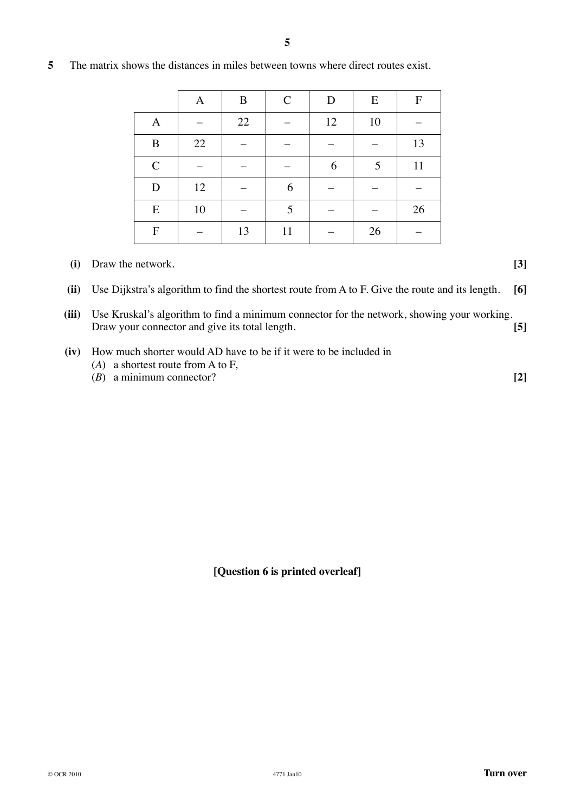|               | A  | B  | $\mathcal{C}$ | D  | E  | $\mathbf F$ |
|---------------|----|----|---------------|----|----|-------------|
| A             |    | 22 |               | 12 | 10 |             |
| $\, {\bf B}$  | 22 |    |               |    |    | 13          |
| $\mathcal{C}$ |    |    |               | 6  | 5  | 11          |
| D             | 12 |    | 6             |    |    |             |
| E             | 10 |    | 5             |    |    | 26          |
| ${\bf F}$     |    | 13 | 11            |    | 26 |             |

**5** The matrix shows the distances in miles between towns where direct routes exist.

 **(i)** Draw the network. **[3]**

- **(ii)** Use Dijkstra's algorithm to find the shortest route from A to F. Give the route and its length. **[6]**
- **(iii)** Use Kruskal's algorithm to find a minimum connector for the network, showing your working. Draw your connector and give its total length. **[5]** [5]
- **(iv)** How much shorter would AD have to be if it were to be included in
	- (*A*) a shortest route from A to F,
	- (*B*) a minimum connector? **[2]**

### **[Question 6 is printed overleaf]**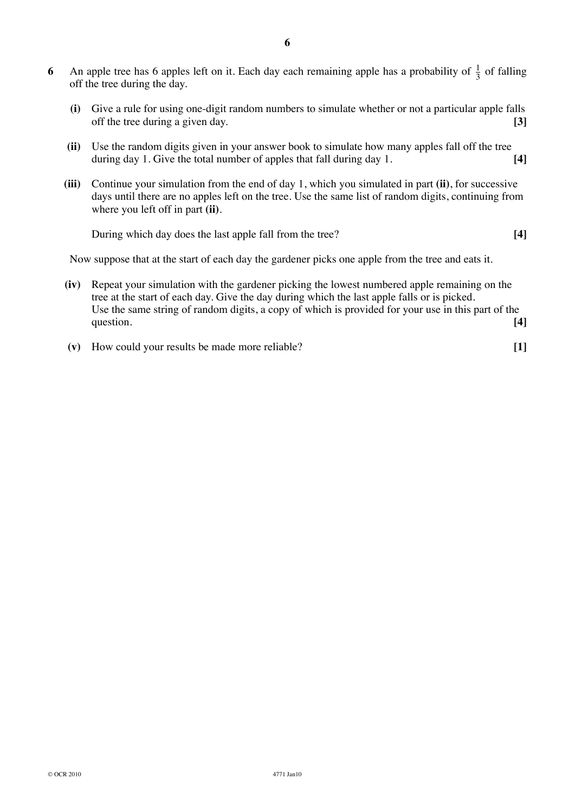- 6 An apple tree has 6 apples left on it. Each day each remaining apple has a probability of  $\frac{1}{3}$  of falling off the tree during the day.
	- **(i)** Give a rule for using one-digit random numbers to simulate whether or not a particular apple falls off the tree during a given day. **[3]**
	- **(ii)** Use the random digits given in your answer book to simulate how many apples fall off the tree during day 1. Give the total number of apples that fall during day 1. **[4]**
	- **(iii)** Continue your simulation from the end of day 1, which you simulated in part **(ii)**, for successive days until there are no apples left on the tree. Use the same list of random digits, continuing from where you left off in part **(ii)**.

**During which day does the last apple fall from the tree?** [4]

Now suppose that at the start of each day the gardener picks one apple from the tree and eats it.

- **(iv)** Repeat your simulation with the gardener picking the lowest numbered apple remaining on the tree at the start of each day. Give the day during which the last apple falls or is picked. Use the same string of random digits, a copy of which is provided for your use in this part of the question. **[4]**
- **(v)** How could your results be made more reliable? **[1]**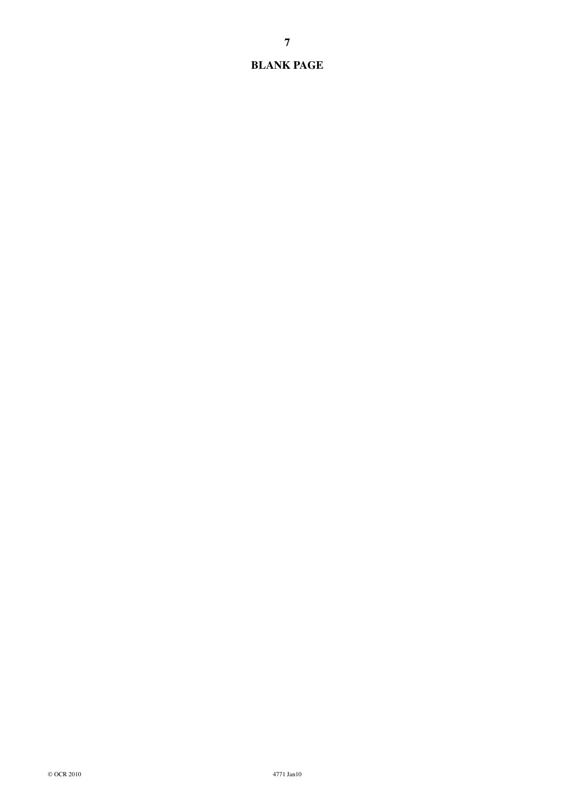# **BLANK PAGE**